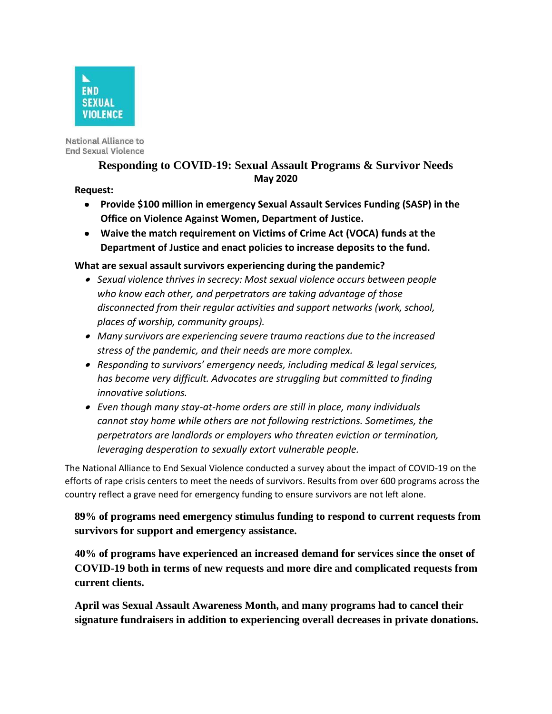

National Alliance to **End Sexual Violence** 

# **Responding to COVID-19: Sexual Assault Programs & Survivor Needs May 2020**

#### **Request:**

- **Provide \$100 million in emergency Sexual Assault Services Funding (SASP) in the Office on Violence Against Women, Department of Justice.**
- **Waive the match requirement on Victims of Crime Act (VOCA) funds at the Department of Justice and enact policies to increase deposits to the fund.**

## **What are sexual assault survivors experiencing during the pandemic?**

- *Sexual violence thrives in secrecy: Most sexual violence occurs between people who know each other, and perpetrators are taking advantage of those disconnected from their regular activities and support networks (work, school, places of worship, community groups).*
- *Many survivors are experiencing severe trauma reactions due to the increased stress of the pandemic, and their needs are more complex.*
- *Responding to survivors' emergency needs, including medical & legal services, has become very difficult. Advocates are struggling but committed to finding innovative solutions.*
- *Even though many stay-at-home orders are still in place, many individuals cannot stay home while others are not following restrictions. Sometimes, the perpetrators are landlords or employers who threaten eviction or termination, leveraging desperation to sexually extort vulnerable people.*

The National Alliance to End Sexual Violence conducted a survey about the impact of COVID-19 on the efforts of rape crisis centers to meet the needs of survivors. Results from over 600 programs across the country reflect a grave need for emergency funding to ensure survivors are not left alone.

**89% of pr[ogr](https://www.immigrantsurvivors.org/)ams need eme[rge](https://www.immigrantsurvivors.org/)ncy stimulus funding to respond to current requests from survi[vors for support and](https://www.immigrantsurvivors.org/) emergency assistance.**

**40% of programs have experienced an increased demand for services since the onset of COVID-19 both in terms of new requests and more dire and complicated requests from current clients.**

**April was Sexual Assault Awareness Month, and many programs had to cancel their signature fundraisers in addition to experiencing overall decreases in private donations.**